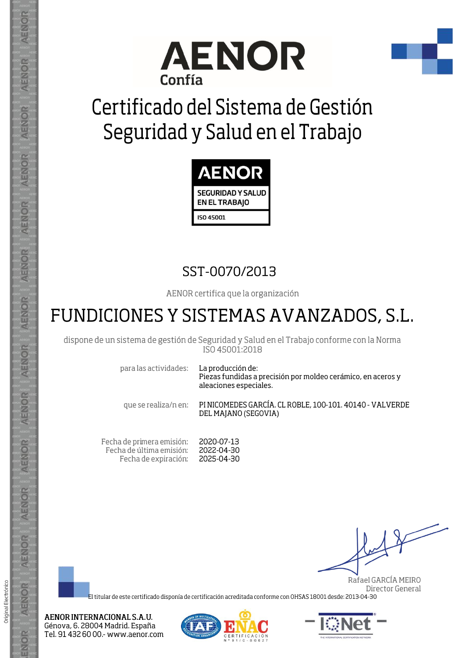



## Certificado del Sistema de Gestión Seguridad y Salud en el Trabajo



## SST-0070/2013

AENOR certifica que la organización

## FUNDICIONES Y SISTEMAS AVANZADOS, S.L.

dispone de un sistema de gestión de Seguridad y Salud en el Trabajo conforme con la Norma ISO 45001:2018

para las actividades:

AENOR

ENOR

ENOR

**AENOR** 

AENOR

AENOR

**AENOR** 

AENOR

ENOR

ENOR

AENOR

AENOR

AENOR

ENOR

Original Electrónico

La producción de: Piezas fundidas a precisión por moldeo cerámico, en aceros y aleaciones especiales.

que se realiza/n en:

PI NICOMEDES GARCÍA. CL ROBLE, 100-101. 40140 - VALVERDE DEL MAJANO (SEGOVIA)

Fecha de primera emisión: 2020-07-13 Fecha de última emisión: 2022-04-30 Fecha de expiración: 2025-04-30

Rafael GARCÍA MEIRO Director General

El titular de este certificado disponía de certificación acreditada conforme con OHSAS 18001 desde: 2013-04-30

AENOR INTERNACIONAL S.A.U. Génova, 6. 28004 Madrid. España Tel. 91 432 60 00.- www.aenor.com